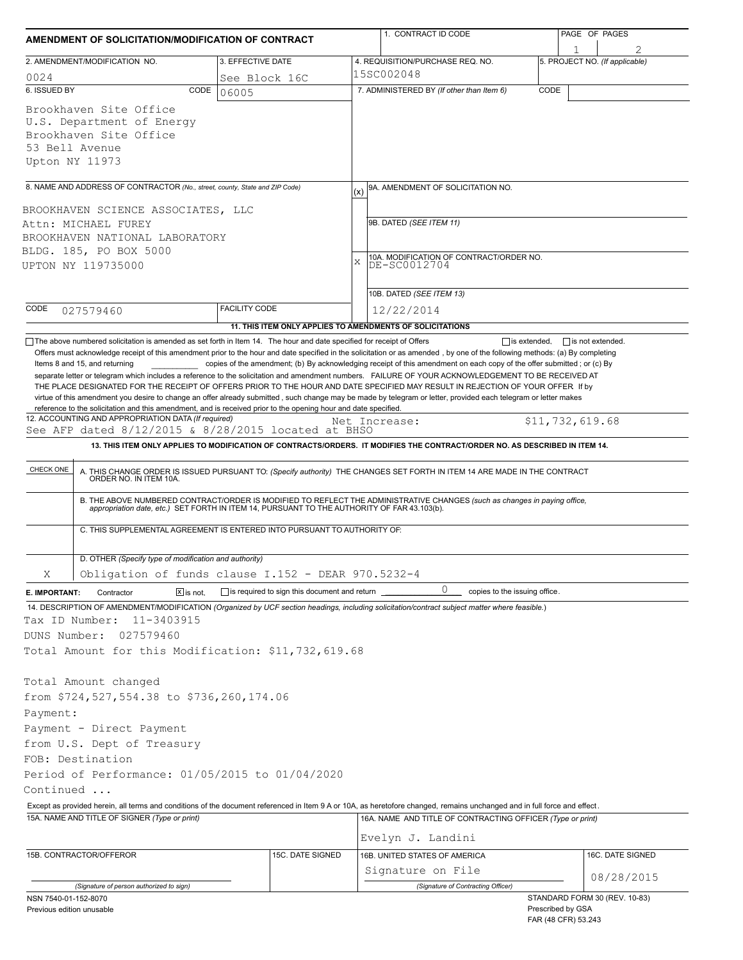| AMENDMENT OF SOLICITATION/MODIFICATION OF CONTRACT                                                                                                                        |                                                     | 1. CONTRACT ID CODE |                                                                                                                                                                                                                                                                                                  | PAGE OF PAGES                            |                                |  |  |  |
|---------------------------------------------------------------------------------------------------------------------------------------------------------------------------|-----------------------------------------------------|---------------------|--------------------------------------------------------------------------------------------------------------------------------------------------------------------------------------------------------------------------------------------------------------------------------------------------|------------------------------------------|--------------------------------|--|--|--|
| 2. AMENDMENT/MODIFICATION NO.                                                                                                                                             | 3. EFFECTIVE DATE                                   |                     | 4. REQUISITION/PURCHASE REQ. NO.                                                                                                                                                                                                                                                                 |                                          | 5. PROJECT NO. (If applicable) |  |  |  |
| 0024                                                                                                                                                                      | See Block 16C                                       |                     | 15SC002048                                                                                                                                                                                                                                                                                       |                                          |                                |  |  |  |
| 6. ISSUED BY<br>CODE                                                                                                                                                      | 06005                                               |                     | 7. ADMINISTERED BY (If other than Item 6)                                                                                                                                                                                                                                                        | CODE                                     |                                |  |  |  |
| Brookhaven Site Office<br>U.S. Department of Energy<br>Brookhaven Site Office<br>53 Bell Avenue<br>Upton NY 11973                                                         |                                                     |                     |                                                                                                                                                                                                                                                                                                  |                                          |                                |  |  |  |
| 8. NAME AND ADDRESS OF CONTRACTOR (No., street, county, State and ZIP Code)                                                                                               |                                                     |                     | 9A. AMENDMENT OF SOLICITATION NO.<br>(x)                                                                                                                                                                                                                                                         |                                          |                                |  |  |  |
| BROOKHAVEN SCIENCE ASSOCIATES, LLC                                                                                                                                        |                                                     |                     | 9B. DATED (SEE ITEM 11)                                                                                                                                                                                                                                                                          |                                          |                                |  |  |  |
| Attn: MICHAEL FUREY<br>BROOKHAVEN NATIONAL LABORATORY                                                                                                                     |                                                     |                     |                                                                                                                                                                                                                                                                                                  |                                          |                                |  |  |  |
| BLDG. 185, PO BOX 5000                                                                                                                                                    |                                                     |                     |                                                                                                                                                                                                                                                                                                  |                                          |                                |  |  |  |
| UPTON NY 119735000                                                                                                                                                        |                                                     |                     | 10A. MODIFICATION OF CONTRACT/ORDER NO.<br>X<br>DE-SC0012704                                                                                                                                                                                                                                     |                                          |                                |  |  |  |
|                                                                                                                                                                           |                                                     |                     | 10B. DATED (SEE ITEM 13)                                                                                                                                                                                                                                                                         |                                          |                                |  |  |  |
| CODE<br>027579460                                                                                                                                                         | <b>FACILITY CODE</b>                                |                     | 12/22/2014                                                                                                                                                                                                                                                                                       |                                          |                                |  |  |  |
|                                                                                                                                                                           |                                                     |                     | 11. THIS ITEM ONLY APPLIES TO AMENDMENTS OF SOLICITATIONS                                                                                                                                                                                                                                        |                                          |                                |  |  |  |
| 12. ACCOUNTING AND APPROPRIATION DATA (If required)<br>See AFP dated 8/12/2015 & 8/28/2015 located at BHSO<br>CHECK ONE                                                   |                                                     |                     | Net Increase:<br>13. THIS ITEM ONLY APPLIES TO MODIFICATION OF CONTRACTS/ORDERS. IT MODIFIES THE CONTRACT/ORDER NO. AS DESCRIBED IN ITEM 14.<br>A. THIS CHANGE ORDER IS ISSUED PURSUANT TO: (Specify authority) THE CHANGES SET FORTH IN ITEM 14 ARE MADE IN THE CONTRACT ORDER NO. IN ITEM 10A. |                                          | \$11,732,619.68                |  |  |  |
| C. THIS SUPPLEMENTAL AGREEMENT IS ENTERED INTO PURSUANT TO AUTHORITY OF:                                                                                                  |                                                     |                     | B. THE ABOVE NUMBERED CONTRACT/ORDER IS MODIFIED TO REFLECT THE ADMINISTRATIVE CHANGES (such as changes in paying office, appropriation date, etc.) SET FORTH IN ITEM 14, PURSUANT TO THE AUTHORITY OF FAR 43.103(b).                                                                            |                                          |                                |  |  |  |
| D. OTHER (Specify type of modification and authority)                                                                                                                     |                                                     |                     |                                                                                                                                                                                                                                                                                                  |                                          |                                |  |  |  |
| Obligation of funds clause $I.152 - DERR 970.5232-4$<br>Χ                                                                                                                 |                                                     |                     |                                                                                                                                                                                                                                                                                                  |                                          |                                |  |  |  |
| Contractor<br>$X$ is not.<br>E. IMPORTANT:                                                                                                                                | $\Box$ is required to sign this document and return |                     | 0<br>copies to the issuing office.                                                                                                                                                                                                                                                               |                                          |                                |  |  |  |
| 14. DESCRIPTION OF AMENDMENT/MODIFICATION (Organized by UCF section headings, including solicitation/contract subject matter where feasible.)                             |                                                     |                     |                                                                                                                                                                                                                                                                                                  |                                          |                                |  |  |  |
| 11-3403915<br>Tax ID Number:                                                                                                                                              |                                                     |                     |                                                                                                                                                                                                                                                                                                  |                                          |                                |  |  |  |
| DUNS Number:<br>027579460                                                                                                                                                 |                                                     |                     |                                                                                                                                                                                                                                                                                                  |                                          |                                |  |  |  |
| Total Amount for this Modification: \$11,732,619.68                                                                                                                       |                                                     |                     |                                                                                                                                                                                                                                                                                                  |                                          |                                |  |  |  |
|                                                                                                                                                                           |                                                     |                     |                                                                                                                                                                                                                                                                                                  |                                          |                                |  |  |  |
| Total Amount changed                                                                                                                                                      |                                                     |                     |                                                                                                                                                                                                                                                                                                  |                                          |                                |  |  |  |
| from \$724,527,554.38 to \$736,260,174.06                                                                                                                                 |                                                     |                     |                                                                                                                                                                                                                                                                                                  |                                          |                                |  |  |  |
| Payment:<br>Payment - Direct Payment                                                                                                                                      |                                                     |                     |                                                                                                                                                                                                                                                                                                  |                                          |                                |  |  |  |
| from U.S. Dept of Treasury                                                                                                                                                |                                                     |                     |                                                                                                                                                                                                                                                                                                  |                                          |                                |  |  |  |
| FOB: Destination                                                                                                                                                          |                                                     |                     |                                                                                                                                                                                                                                                                                                  |                                          |                                |  |  |  |
| Period of Performance: 01/05/2015 to 01/04/2020                                                                                                                           |                                                     |                     |                                                                                                                                                                                                                                                                                                  |                                          |                                |  |  |  |
| Continued                                                                                                                                                                 |                                                     |                     |                                                                                                                                                                                                                                                                                                  |                                          |                                |  |  |  |
| Except as provided herein, all terms and conditions of the document referenced in Item 9 A or 10A, as heretofore changed, remains unchanged and in full force and effect. |                                                     |                     |                                                                                                                                                                                                                                                                                                  |                                          |                                |  |  |  |
| 15A. NAME AND TITLE OF SIGNER (Type or print)                                                                                                                             |                                                     |                     | 16A. NAME AND TITLE OF CONTRACTING OFFICER (Type or print)<br>Evelyn J. Landini                                                                                                                                                                                                                  |                                          |                                |  |  |  |
|                                                                                                                                                                           |                                                     |                     |                                                                                                                                                                                                                                                                                                  |                                          |                                |  |  |  |
| 15B. CONTRACTOR/OFFEROR                                                                                                                                                   |                                                     | 15C. DATE SIGNED    | 16B. UNITED STATES OF AMERICA<br>Signature on File                                                                                                                                                                                                                                               |                                          | 16C. DATE SIGNED               |  |  |  |
| (Signature of person authorized to sign)                                                                                                                                  |                                                     |                     | (Signature of Contracting Officer)                                                                                                                                                                                                                                                               |                                          | 08/28/2015                     |  |  |  |
| NSN 7540-01-152-8070                                                                                                                                                      |                                                     |                     |                                                                                                                                                                                                                                                                                                  |                                          | STANDARD FORM 30 (REV. 10-83)  |  |  |  |
| Previous edition unusable                                                                                                                                                 |                                                     |                     |                                                                                                                                                                                                                                                                                                  | Prescribed by GSA<br>FAR (48 CFR) 53.243 |                                |  |  |  |